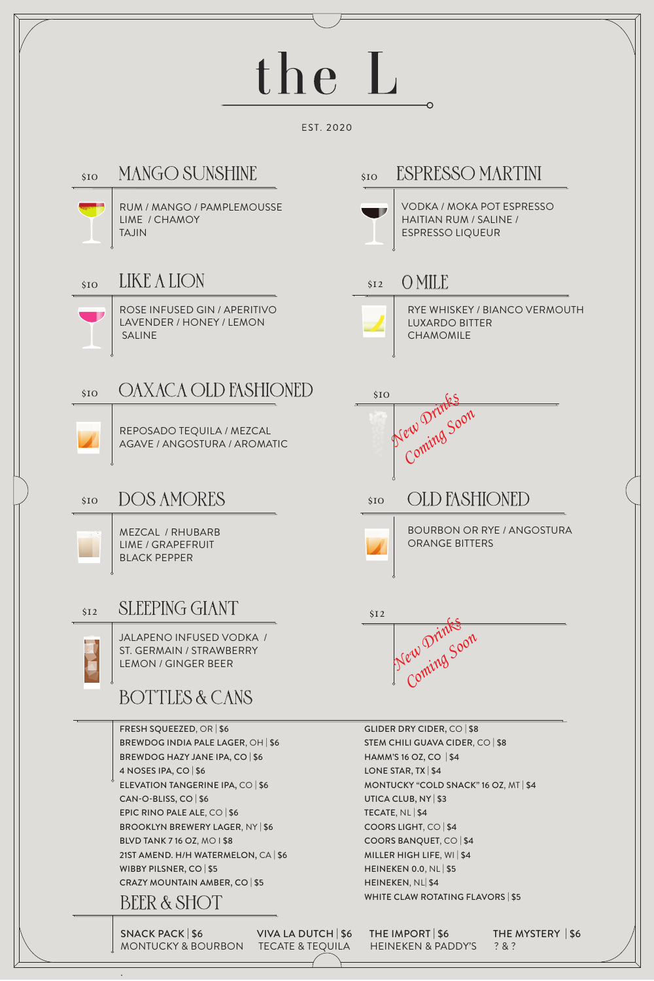